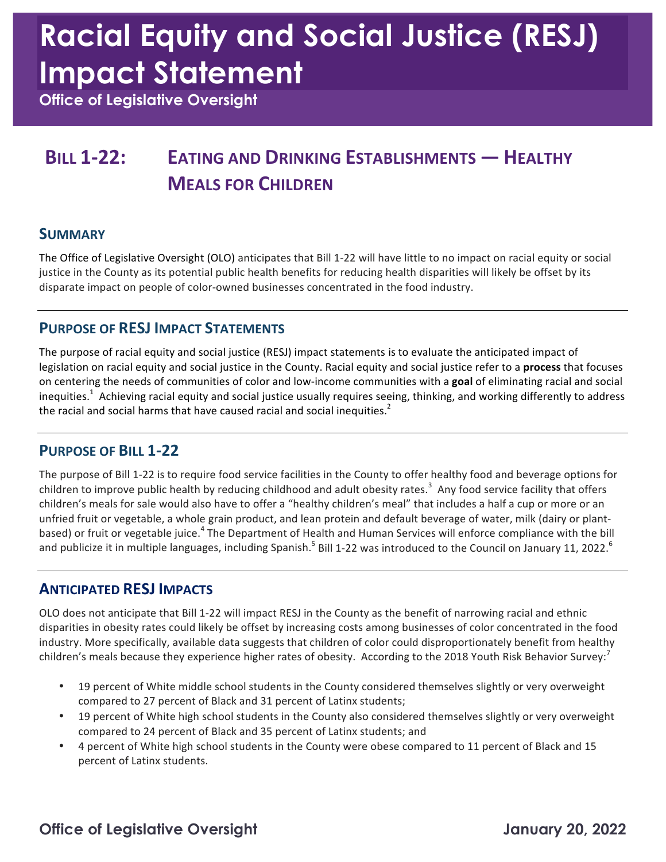# **Racial Equity and Social Justice (RESJ) Impact Statement**

 **Office of Legislative Oversight** 

### **BILL 1-22: EATING AND DRINKING ESTABLISHMENTS — HEALTHY MEALS FOR CHILDREN**

#### **SUMMARY**

The Office of Legislative Oversight (OLO) anticipates that Bill 1-22 will have little to no impact on racial equity or social justice in the County as its potential public health benefits for reducing health disparities will likely be offset by its disparate impact on people of color-owned businesses concentrated in the food industry.

#### **PURPOSE OF RESJ IMPACT STATEMENTS**

The purpose of racial equity and social justice (RESJ) impact statements is to evaluate the anticipated impact of legislation on racial equity and social justice in the County. Racial equity and social justice refer to a **process** that focuses on centering the needs of communities of color and low-income communities with a goal of eliminating racial and social inequities.<sup>1</sup> Achieving racial equity and social justice usually requires seeing, thinking, and working differently to address the racial and social harms that have caused racial and social inequities.<sup>2</sup>

#### **PURPOSE OF BILL 1-22**

The purpose of Bill 1-22 is to require food service facilities in the County to offer healthy food and beverage options for children to improve public health by reducing childhood and adult obesity rates.<sup>3</sup> Any food service facility that offers children's meals for sale would also have to offer a "healthy children's meal" that includes a half a cup or more or an unfried fruit or vegetable, a whole grain product, and lean protein and default beverage of water, milk (dairy or plantbased) or fruit or vegetable juice.<sup>4</sup> The Department of Health and Human Services will enforce compliance with the bill and publicize it in multiple languages, including Spanish.<sup>5</sup> Bill 1-22 was introduced to the Council on January 11, 2022.<sup>6</sup>

#### **ANTICIPATED RESJ IMPACTS**

OLO does not anticipate that Bill 1-22 will impact RESJ in the County as the benefit of narrowing racial and ethnic disparities in obesity rates could likely be offset by increasing costs among businesses of color concentrated in the food industry. More specifically, available data suggests that children of color could disproportionately benefit from healthy children's meals because they experience higher rates of obesity. According to the 2018 Youth Risk Behavior Survey:<sup>7</sup>

- 19 percent of White middle school students in the County considered themselves slightly or very overweight compared to 27 percent of Black and 31 percent of Latinx students;
- 19 percent of White high school students in the County also considered themselves slightly or very overweight compared to 24 percent of Black and 35 percent of Latinx students; and
- 4 percent of White high school students in the County were obese compared to 11 percent of Black and 15 percent of Latinx students.